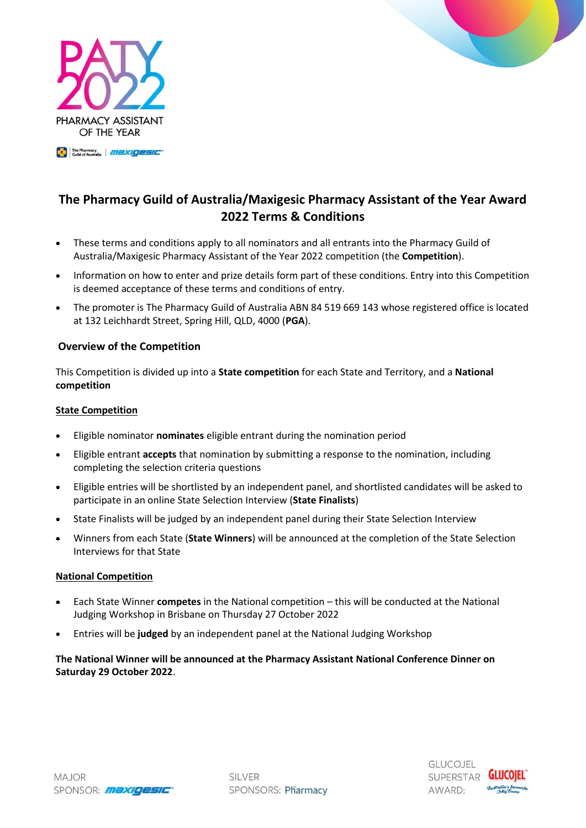



# **The Pharmacy Guild of Australia/Maxigesic Pharmacy Assistant of the Year Award 2022 Terms & Conditions**

- These terms and conditions apply to all nominators and all entrants into the Pharmacy Guild of Australia/Maxigesic Pharmacy Assistant of the Year 2022 competition (the **Competition**).
- Information on how to enter and prize details form part of these conditions. Entry into this Competition is deemed acceptance of these terms and conditions of entry.
- The promoter is The Pharmacy Guild of Australia ABN 84 519 669 143 whose registered office is located at 132 Leichhardt Street, Spring Hill, QLD, 4000 (**PGA**).

# **Overview of the Competition**

This Competition is divided up into a **State competition** for each State and Territory, and a **National competition**

# **State Competition**

- Eligible nominator **nominates** eligible entrant during the nomination period
- Eligible entrant **accepts** that nomination by submitting a response to the nomination, including completing the selection criteria questions
- Eligible entries will be shortlisted by an independent panel, and shortlisted candidates will be asked to participate in an online State Selection Interview (**State Finalists**)
- State Finalists will be judged by an independent panel during their State Selection Interview
- Winners from each State (**State Winners**) will be announced at the completion of the State Selection Interviews for that State

# **National Competition**

- Each State Winner **competes** in the National competition this will be conducted at the National Judging Workshop in Brisbane on Thursday 27 October 2022
- Entries will be **judged** by an independent panel at the National Judging Workshop

# **The National Winner will be announced at the Pharmacy Assistant National Conference Dinner on Saturday 29 October 2022**.

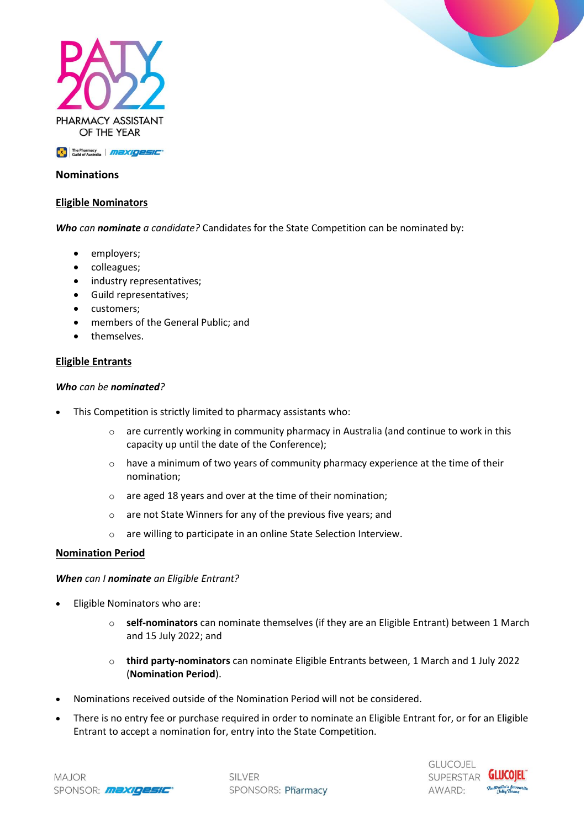

**ER The Pharmacy MEXIGESIC** 

# **Nominations**

## **Eligible Nominators**

*Who can nominate a candidate?* Candidates for the State Competition can be nominated by:

- employers;
- colleagues;
- industry representatives;
- Guild representatives;
- customers:
- members of the General Public; and
- themselves.

#### **Eligible Entrants**

#### *Who can be nominated?*

- This Competition is strictly limited to pharmacy assistants who:
	- $\circ$  are currently working in community pharmacy in Australia (and continue to work in this capacity up until the date of the Conference);
	- $\circ$  have a minimum of two years of community pharmacy experience at the time of their nomination;
	- o are aged 18 years and over at the time of their nomination;
	- o are not State Winners for any of the previous five years; and
	- o are willing to participate in an online State Selection Interview.

#### **Nomination Period**

#### *When can I nominate an Eligible Entrant?*

- Eligible Nominators who are:
	- o **self-nominators** can nominate themselves (if they are an Eligible Entrant) between 1 March and 15 July 2022; and
	- o **third party-nominators** can nominate Eligible Entrants between, 1 March and 1 July 2022 (**Nomination Period**).
- Nominations received outside of the Nomination Period will not be considered.
- There is no entry fee or purchase required in order to nominate an Eligible Entrant for, or for an Eligible Entrant to accept a nomination for, entry into the State Competition.



**SILVER** SPONSORS: Pharmacy

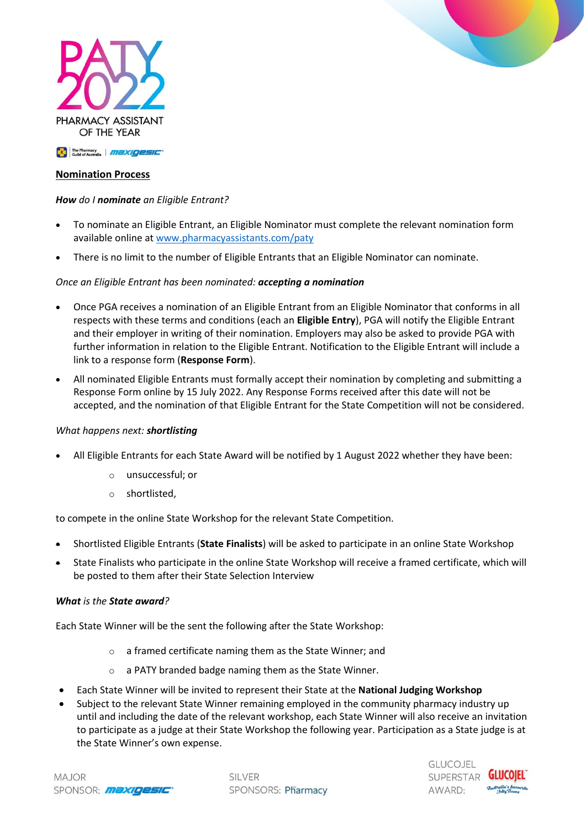

# **Nomination Process**

## *How do I nominate an Eligible Entrant?*

- To nominate an Eligible Entrant, an Eligible Nominator must complete the relevant nomination form available online a[t www.pharmacyassistants.com/paty](http://www.pharmacyassistants.com/paty)
- There is no limit to the number of Eligible Entrants that an Eligible Nominator can nominate.

#### *Once an Eligible Entrant has been nominated: accepting a nomination*

- Once PGA receives a nomination of an Eligible Entrant from an Eligible Nominator that conforms in all respects with these terms and conditions (each an **Eligible Entry**), PGA will notify the Eligible Entrant and their employer in writing of their nomination. Employers may also be asked to provide PGA with further information in relation to the Eligible Entrant. Notification to the Eligible Entrant will include a link to a response form (**Response Form**).
- All nominated Eligible Entrants must formally accept their nomination by completing and submitting a Response Form online by 15 July 2022. Any Response Forms received after this date will not be accepted, and the nomination of that Eligible Entrant for the State Competition will not be considered.

#### *What happens next: shortlisting*

- All Eligible Entrants for each State Award will be notified by 1 August 2022 whether they have been:
	- o unsuccessful; or
	- o shortlisted,

to compete in the online State Workshop for the relevant State Competition.

- Shortlisted Eligible Entrants (**State Finalists**) will be asked to participate in an online State Workshop
- State Finalists who participate in the online State Workshop will receive a framed certificate, which will be posted to them after their State Selection Interview

#### *What is the State award?*

Each State Winner will be the sent the following after the State Workshop:

- o a framed certificate naming them as the State Winner; and
- o a PATY branded badge naming them as the State Winner.
- Each State Winner will be invited to represent their State at the **National Judging Workshop**
- Subject to the relevant State Winner remaining employed in the community pharmacy industry up until and including the date of the relevant workshop, each State Winner will also receive an invitation to participate as a judge at their State Workshop the following year. Participation as a State judge is at the State Winner's own expense.

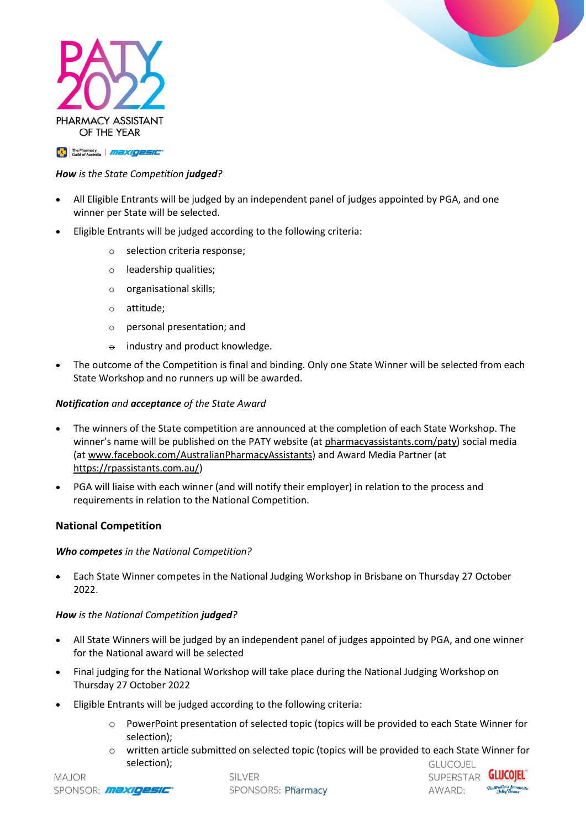



**ER The Pharmacy MEXIGESIC** 

## *How is the State Competition judged?*

- All Eligible Entrants will be judged by an independent panel of judges appointed by PGA, and one winner per State will be selected.
- Eligible Entrants will be judged according to the following criteria:
	- o selection criteria response;
	- o leadership qualities;
	- o organisational skills;
	- o attitude;
	- o personal presentation; and
	- $\theta$  industry and product knowledge.
- The outcome of the Competition is final and binding. Only one State Winner will be selected from each State Workshop and no runners up will be awarded.

## *Notification and acceptance of the State Award*

- The winners of the State competition are announced at the completion of each State Workshop. The winner's name will be published on the PATY website (at [pharmacyassistants.com/paty\)](http://www.pharmacyassistants.com/paty) social media (at [www.facebook.com/AustralianPharmacyAssistants\)](http://www.facebook.com/AustralianPharmacyAssistants) and Award Media Partner (at [https://rpassistants.com.au/\)](https://rpassistants.com.au/)
- PGA will liaise with each winner (and will notify their employer) in relation to the process and requirements in relation to the National Competition.

# **National Competition**

## *Who competes in the National Competition?*

• Each State Winner competes in the National Judging Workshop in Brisbane on Thursday 27 October 2022.

## *How is the National Competition judged?*

- All State Winners will be judged by an independent panel of judges appointed by PGA, and one winner for the National award will be selected
- Final judging for the National Workshop will take place during the National Judging Workshop on Thursday 27 October 2022
- Eligible Entrants will be judged according to the following criteria:
	- o PowerPoint presentation of selected topic (topics will be provided to each State Winner for selection);
	- o written article submitted on selected topic (topics will be provided to each State Winner for selection);**GLUCOJEL**

**SILVER** SPONSORS: Pharmacy



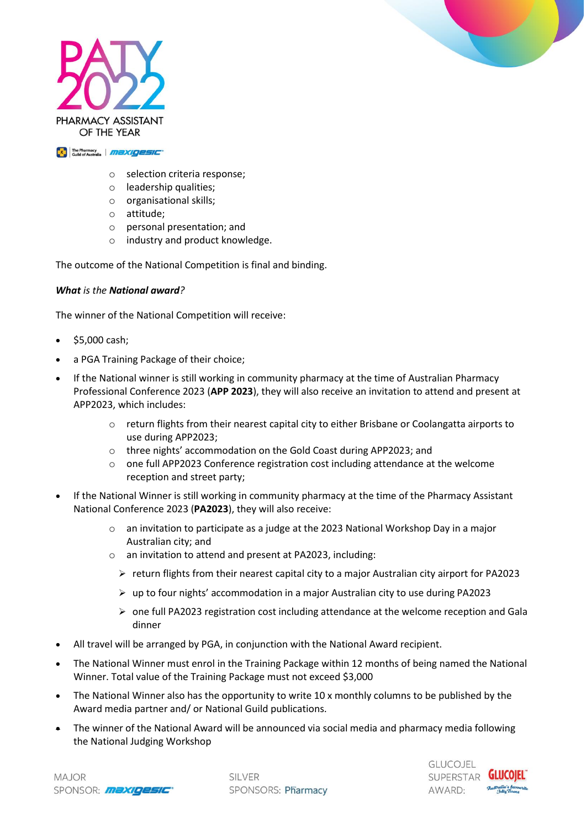



**ERE** The Pharmacy **AND XIQESIC** 

- o selection criteria response;
- o leadership qualities;
- o organisational skills;
- o attitude;
- o personal presentation; and
- o industry and product knowledge.

The outcome of the National Competition is final and binding.

## *What is the National award?*

The winner of the National Competition will receive:

- \$5,000 cash;
- a PGA Training Package of their choice;
- If the National winner is still working in community pharmacy at the time of Australian Pharmacy Professional Conference 2023 (**APP 2023**), they will also receive an invitation to attend and present at APP2023, which includes:
	- o return flights from their nearest capital city to either Brisbane or Coolangatta airports to use during APP2023;
	- o three nights' accommodation on the Gold Coast during APP2023; and
	- $\circ$  one full APP2023 Conference registration cost including attendance at the welcome reception and street party;
- If the National Winner is still working in community pharmacy at the time of the Pharmacy Assistant National Conference 2023 (**PA2023**), they will also receive:
	- $\circ$  an invitation to participate as a judge at the 2023 National Workshop Day in a major Australian city; and
	- o an invitation to attend and present at PA2023, including:
		- $\triangleright$  return flights from their nearest capital city to a major Australian city airport for PA2023
		- $\triangleright$  up to four nights' accommodation in a major Australian city to use during PA2023
		- $\triangleright$  one full PA2023 registration cost including attendance at the welcome reception and Gala dinner
- All travel will be arranged by PGA, in conjunction with the National Award recipient.
- The National Winner must enrol in the Training Package within 12 months of being named the National Winner. Total value of the Training Package must not exceed \$3,000
- The National Winner also has the opportunity to write 10 x monthly columns to be published by the Award media partner and/ or National Guild publications.
- The winner of the National Award will be announced via social media and pharmacy media following the National Judging Workshop

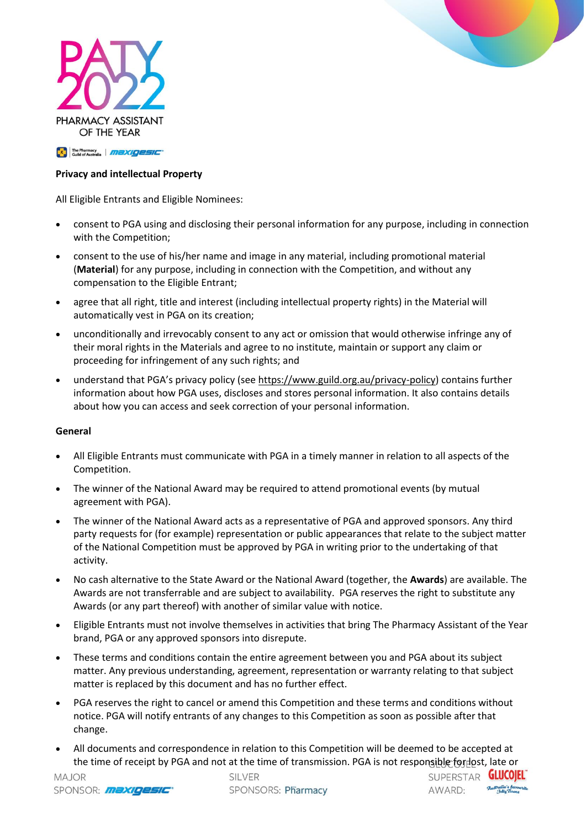



## **Privacy and intellectual Property**

All Eligible Entrants and Eligible Nominees:

- consent to PGA using and disclosing their personal information for any purpose, including in connection with the Competition;
- consent to the use of his/her name and image in any material, including promotional material (**Material**) for any purpose, including in connection with the Competition, and without any compensation to the Eligible Entrant;
- agree that all right, title and interest (including intellectual property rights) in the Material will automatically vest in PGA on its creation;
- unconditionally and irrevocably consent to any act or omission that would otherwise infringe any of their moral rights in the Materials and agree to no institute, maintain or support any claim or proceeding for infringement of any such rights; and
- understand that PGA's privacy policy (see [https://www.guild.org.au/privacy-policy\)](https://www.guild.org.au/privacy-policy) contains further information about how PGA uses, discloses and stores personal information. It also contains details about how you can access and seek correction of your personal information.

#### **General**

- All Eligible Entrants must communicate with PGA in a timely manner in relation to all aspects of the Competition.
- The winner of the National Award may be required to attend promotional events (by mutual agreement with PGA).
- The winner of the National Award acts as a representative of PGA and approved sponsors. Any third party requests for (for example) representation or public appearances that relate to the subject matter of the National Competition must be approved by PGA in writing prior to the undertaking of that activity.
- No cash alternative to the State Award or the National Award (together, the **Awards**) are available. The Awards are not transferrable and are subject to availability. PGA reserves the right to substitute any Awards (or any part thereof) with another of similar value with notice.
- Eligible Entrants must not involve themselves in activities that bring The Pharmacy Assistant of the Year brand, PGA or any approved sponsors into disrepute.
- These terms and conditions contain the entire agreement between you and PGA about its subject matter. Any previous understanding, agreement, representation or warranty relating to that subject matter is replaced by this document and has no further effect.
- PGA reserves the right to cancel or amend this Competition and these terms and conditions without notice. PGA will notify entrants of any changes to this Competition as soon as possible after that change.
- All documents and correspondence in relation to this Competition will be deemed to be accepted at the time of receipt by PGA and not at the time of transmission. PGA is not responsible for lost, late or

**SILVER** SPONSORS: Pharmacy